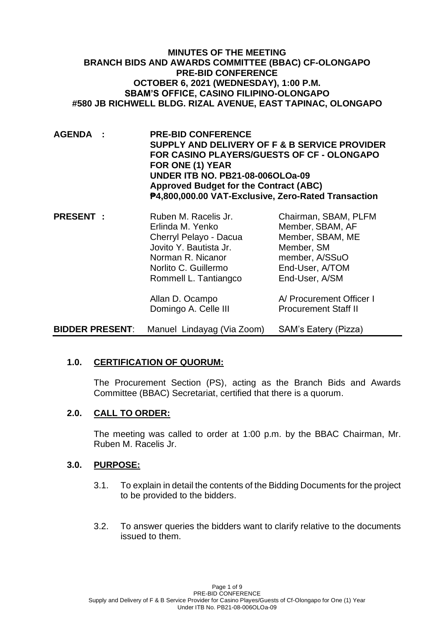**MINUTES OF THE MEETING BRANCH BIDS AND AWARDS COMMITTEE (BBAC) CF-OLONGAPO PRE-BID CONFERENCE OCTOBER 6, 2021 (WEDNESDAY), 1:00 P.M. SBAM'S OFFICE, CASINO FILIPINO-OLONGAPO #580 JB RICHWELL BLDG. RIZAL AVENUE, EAST TAPINAC, OLONGAPO**

- **AGENDA : PRE-BID CONFERENCE SUPPLY AND DELIVERY OF F & B SERVICE PROVIDER FOR CASINO PLAYERS/GUESTS OF CF - OLONGAPO FOR ONE (1) YEAR UNDER ITB NO. PB21-08-006OLOa-09 Approved Budget for the Contract (ABC) ₱4,800,000.00 VAT-Exclusive, Zero-Rated Transaction**
- **PRESENT** : Ruben M. Racelis Jr. Chairman, SBAM, PLFM Erlinda M. Yenko Member, SBAM, AF Cherryl Pelayo - Dacua Member, SBAM, ME Jovito Y. Bautista Jr. Member, SM Norman R. Nicanor member, A/SSuO Norlito C. Guillermo End-User, A/TOM Rommell L. Tantiangco End-User, A/SM

Allan D. Ocampo **A/ Procurement Officer I** Domingo A. Celle III Procurement Staff II

**BIDDER PRESENT**: Manuel Lindayag (Via Zoom) SAM's Eatery (Pizza)

## **1.0. CERTIFICATION OF QUORUM:**

The Procurement Section (PS), acting as the Branch Bids and Awards Committee (BBAC) Secretariat, certified that there is a quorum.

## **2.0. CALL TO ORDER:**

The meeting was called to order at 1:00 p.m. by the BBAC Chairman, Mr. Ruben M. Racelis Jr.

#### **3.0. PURPOSE:**

- 3.1. To explain in detail the contents of the Bidding Documents for the project to be provided to the bidders.
- 3.2. To answer queries the bidders want to clarify relative to the documents issued to them.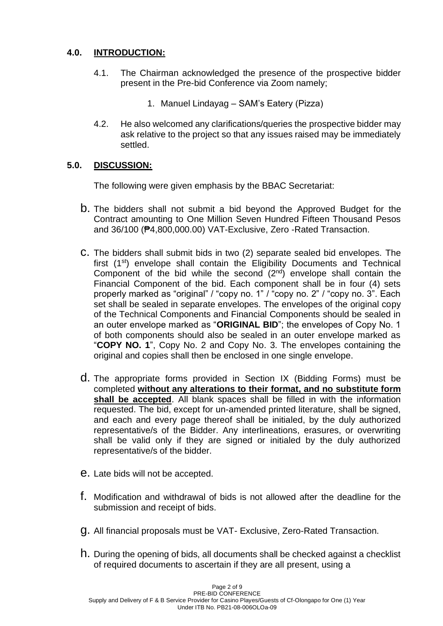# **4.0. INTRODUCTION:**

- 4.1. The Chairman acknowledged the presence of the prospective bidder present in the Pre-bid Conference via Zoom namely;
	- 1. Manuel Lindayag SAM's Eatery (Pizza)
- 4.2. He also welcomed any clarifications/queries the prospective bidder may ask relative to the project so that any issues raised may be immediately settled.

## **5.0. DISCUSSION:**

The following were given emphasis by the BBAC Secretariat:

- b. The bidders shall not submit a bid beyond the Approved Budget for the Contract amounting to One Million Seven Hundred Fifteen Thousand Pesos and 36/100 (₱4,800,000.00) VAT-Exclusive, Zero -Rated Transaction.
- c. The bidders shall submit bids in two (2) separate sealed bid envelopes. The first (1<sup>st</sup>) envelope shall contain the Eligibility Documents and Technical Component of the bid while the second  $(2^{nd})$  envelope shall contain the Financial Component of the bid. Each component shall be in four (4) sets properly marked as "original" / "copy no. 1" / "copy no. 2" / "copy no. 3". Each set shall be sealed in separate envelopes. The envelopes of the original copy of the Technical Components and Financial Components should be sealed in an outer envelope marked as "**ORIGINAL BID**"; the envelopes of Copy No. 1 of both components should also be sealed in an outer envelope marked as "**COPY NO. 1**", Copy No. 2 and Copy No. 3. The envelopes containing the original and copies shall then be enclosed in one single envelope.
- d. The appropriate forms provided in Section IX (Bidding Forms) must be completed **without any alterations to their format, and no substitute form shall be accepted**. All blank spaces shall be filled in with the information requested. The bid, except for un-amended printed literature, shall be signed, and each and every page thereof shall be initialed, by the duly authorized representative/s of the Bidder. Any interlineations, erasures, or overwriting shall be valid only if they are signed or initialed by the duly authorized representative/s of the bidder.
- e. Late bids will not be accepted.
- f. Modification and withdrawal of bids is not allowed after the deadline for the submission and receipt of bids.
- g. All financial proposals must be VAT- Exclusive, Zero-Rated Transaction.
- h. During the opening of bids, all documents shall be checked against a checklist of required documents to ascertain if they are all present, using a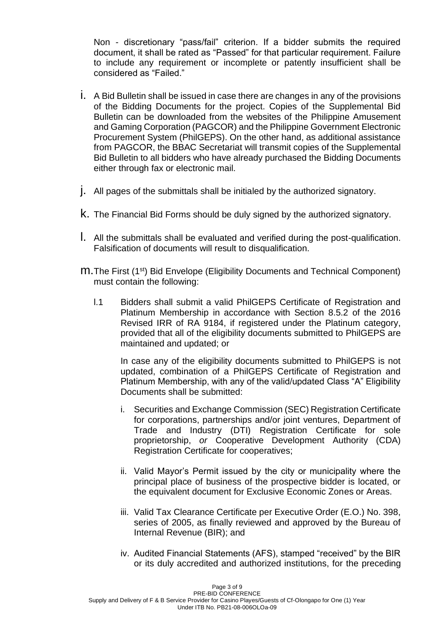Non - discretionary "pass/fail" criterion. If a bidder submits the required document, it shall be rated as "Passed" for that particular requirement. Failure to include any requirement or incomplete or patently insufficient shall be considered as "Failed."

- i. A Bid Bulletin shall be issued in case there are changes in any of the provisions of the Bidding Documents for the project. Copies of the Supplemental Bid Bulletin can be downloaded from the websites of the Philippine Amusement and Gaming Corporation (PAGCOR) and the Philippine Government Electronic Procurement System (PhilGEPS). On the other hand, as additional assistance from PAGCOR, the BBAC Secretariat will transmit copies of the Supplemental Bid Bulletin to all bidders who have already purchased the Bidding Documents either through fax or electronic mail.
- j. All pages of the submittals shall be initialed by the authorized signatory.
- k. The Financial Bid Forms should be duly signed by the authorized signatory.
- l. All the submittals shall be evaluated and verified during the post-qualification. Falsification of documents will result to disqualification.
- m.The First (1st) Bid Envelope (Eligibility Documents and Technical Component) must contain the following:
	- l.1 Bidders shall submit a valid PhilGEPS Certificate of Registration and Platinum Membership in accordance with Section 8.5.2 of the 2016 Revised IRR of RA 9184, if registered under the Platinum category, provided that all of the eligibility documents submitted to PhilGEPS are maintained and updated; or

In case any of the eligibility documents submitted to PhilGEPS is not updated, combination of a PhilGEPS Certificate of Registration and Platinum Membership, with any of the valid/updated Class "A" Eligibility Documents shall be submitted:

- i. Securities and Exchange Commission (SEC) Registration Certificate for corporations, partnerships and/or joint ventures, Department of Trade and Industry (DTI) Registration Certificate for sole proprietorship, *or* Cooperative Development Authority (CDA) Registration Certificate for cooperatives;
- ii. Valid Mayor's Permit issued by the city or municipality where the principal place of business of the prospective bidder is located, or the equivalent document for Exclusive Economic Zones or Areas.
- iii. Valid Tax Clearance Certificate per Executive Order (E.O.) No. 398, series of 2005, as finally reviewed and approved by the Bureau of Internal Revenue (BIR); and
- iv. Audited Financial Statements (AFS), stamped "received" by the BIR or its duly accredited and authorized institutions, for the preceding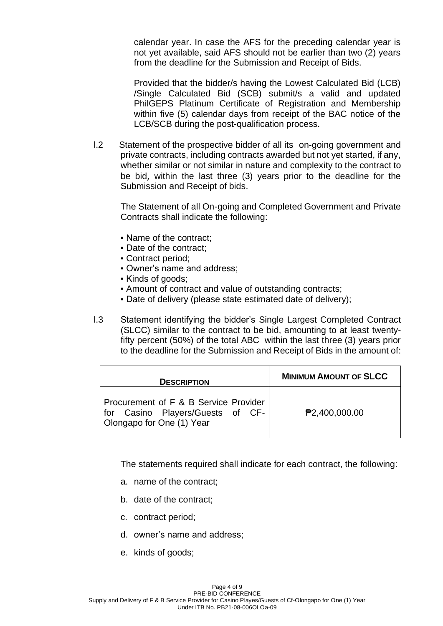calendar year. In case the AFS for the preceding calendar year is not yet available, said AFS should not be earlier than two (2) years from the deadline for the Submission and Receipt of Bids.

Provided that the bidder/s having the Lowest Calculated Bid (LCB) /Single Calculated Bid (SCB) submit/s a valid and updated PhilGEPS Platinum Certificate of Registration and Membership within five (5) calendar days from receipt of the BAC notice of the LCB/SCB during the post-qualification process.

l.2 Statement of the prospective bidder of all its on-going government and private contracts, including contracts awarded but not yet started, if any, whether similar or not similar in nature and complexity to the contract to be bid, within the last three (3) years prior to the deadline for the Submission and Receipt of bids.

The Statement of all On-going and Completed Government and Private Contracts shall indicate the following:

- Name of the contract;
- Date of the contract;
- Contract period;
- Owner's name and address;
- Kinds of goods;
- Amount of contract and value of outstanding contracts;
- Date of delivery (please state estimated date of delivery);
- l.3 Statement identifying the bidder's Single Largest Completed Contract (SLCC) similar to the contract to be bid, amounting to at least twentyfifty percent (50%) of the total ABC within the last three (3) years prior to the deadline for the Submission and Receipt of Bids in the amount of:

| <b>DESCRIPTION</b>                                                                                                | <b>MINIMUM AMOUNT OF SLCC</b> |
|-------------------------------------------------------------------------------------------------------------------|-------------------------------|
| <b>Procurement of F &amp; B Service Provider</b><br>for Casino Players/Guests of CF-<br>Olongapo for One (1) Year | <b>₱2,400,000.00</b>          |

The statements required shall indicate for each contract, the following:

- a. name of the contract;
- b. date of the contract;
- c. contract period;
- d. owner's name and address;
- e. kinds of goods;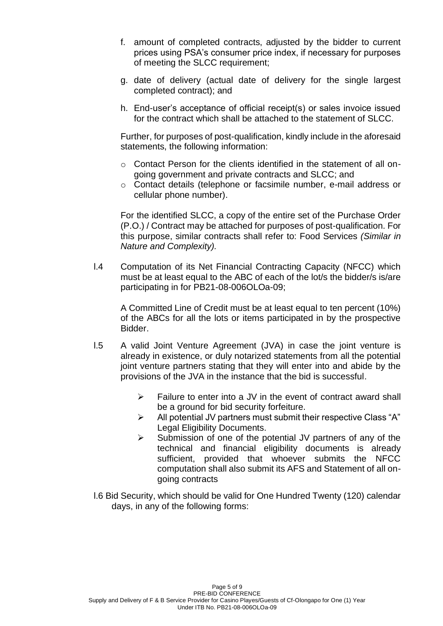- f. amount of completed contracts, adjusted by the bidder to current prices using PSA's consumer price index, if necessary for purposes of meeting the SLCC requirement;
- g. date of delivery (actual date of delivery for the single largest completed contract); and
- h. End-user's acceptance of official receipt(s) or sales invoice issued for the contract which shall be attached to the statement of SLCC.

Further, for purposes of post-qualification, kindly include in the aforesaid statements, the following information:

- $\circ$  Contact Person for the clients identified in the statement of all ongoing government and private contracts and SLCC; and
- o Contact details (telephone or facsimile number, e-mail address or cellular phone number).

For the identified SLCC, a copy of the entire set of the Purchase Order (P.O.) / Contract may be attached for purposes of post-qualification. For this purpose, similar contracts shall refer to: Food Services *(Similar in Nature and Complexity).*

l.4 Computation of its Net Financial Contracting Capacity (NFCC) which must be at least equal to the ABC of each of the lot/s the bidder/s is/are participating in for PB21-08-006OLOa-09;

A Committed Line of Credit must be at least equal to ten percent (10%) of the ABCs for all the lots or items participated in by the prospective Bidder.

- l.5 A valid Joint Venture Agreement (JVA) in case the joint venture is already in existence, or duly notarized statements from all the potential joint venture partners stating that they will enter into and abide by the provisions of the JVA in the instance that the bid is successful.
	- $\triangleright$  Failure to enter into a JV in the event of contract award shall be a ground for bid security forfeiture.
	- $\triangleright$  All potential JV partners must submit their respective Class "A" Legal Eligibility Documents.
	- ➢ Submission of one of the potential JV partners of any of the technical and financial eligibility documents is already sufficient, provided that whoever submits the NFCC computation shall also submit its AFS and Statement of all ongoing contracts
- l.6 Bid Security, which should be valid for One Hundred Twenty (120) calendar days, in any of the following forms: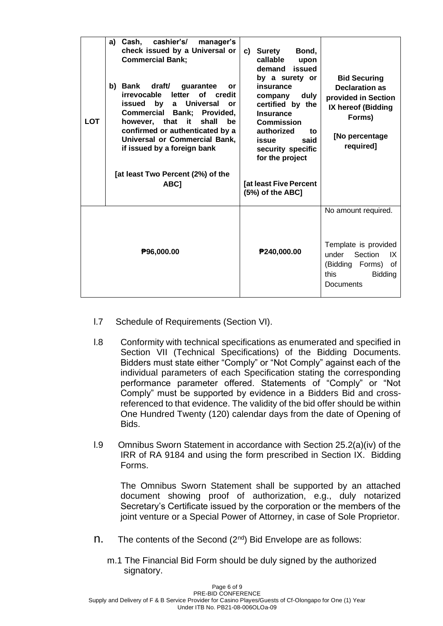| <b>LOT</b> | a) Cash, cashier's/<br>manager's<br>check issued by a Universal or<br><b>Commercial Bank;</b><br>draft/<br>b) Bank<br>guarantee<br>or<br>irrevocable<br>letter of credit<br><b>Universal</b><br>issued by<br>$\mathbf{a}$<br>or<br>Commercial Bank; Provided,<br>however, that<br>shall<br>it<br>be<br>confirmed or authenticated by a<br>Universal or Commercial Bank,<br>if issued by a foreign bank<br>[at least Two Percent (2%) of the<br>ABC] | c) Surety<br>Bond,<br>callable<br>upon<br>issued<br>demand<br>by a surety or<br>insurance<br>duly<br>company<br>certified by the<br><b>Insurance</b><br><b>Commission</b><br>authorized<br>to<br>said<br>issue<br>security specific<br>for the project<br><b>Tat least Five Percent</b> | <b>Bid Securing</b><br><b>Declaration as</b><br>provided in Section<br>IX hereof (Bidding<br>Forms)<br>[No percentage<br>required] |
|------------|-----------------------------------------------------------------------------------------------------------------------------------------------------------------------------------------------------------------------------------------------------------------------------------------------------------------------------------------------------------------------------------------------------------------------------------------------------|-----------------------------------------------------------------------------------------------------------------------------------------------------------------------------------------------------------------------------------------------------------------------------------------|------------------------------------------------------------------------------------------------------------------------------------|
|            |                                                                                                                                                                                                                                                                                                                                                                                                                                                     | (5%) of the ABC]                                                                                                                                                                                                                                                                        | No amount required.                                                                                                                |
|            | ₱96,000.00                                                                                                                                                                                                                                                                                                                                                                                                                                          | P240,000.00                                                                                                                                                                                                                                                                             | Template is provided<br>under<br>Section<br>IX<br>(Bidding Forms)<br>оf<br>this<br><b>Bidding</b><br><b>Documents</b>              |

- l.7 Schedule of Requirements (Section VI).
- l.8 Conformity with technical specifications as enumerated and specified in Section VII (Technical Specifications) of the Bidding Documents. Bidders must state either "Comply" or "Not Comply" against each of the individual parameters of each Specification stating the corresponding performance parameter offered. Statements of "Comply" or "Not Comply" must be supported by evidence in a Bidders Bid and crossreferenced to that evidence. The validity of the bid offer should be within One Hundred Twenty (120) calendar days from the date of Opening of Bids.
- l.9 Omnibus Sworn Statement in accordance with Section 25.2(a)(iv) of the IRR of RA 9184 and using the form prescribed in Section IX. Bidding Forms.

The Omnibus Sworn Statement shall be supported by an attached document showing proof of authorization, e.g., duly notarized Secretary's Certificate issued by the corporation or the members of the joint venture or a Special Power of Attorney, in case of Sole Proprietor.

- $n.$  The contents of the Second ( $2^{nd}$ ) Bid Envelope are as follows:
	- m.1 The Financial Bid Form should be duly signed by the authorized signatory.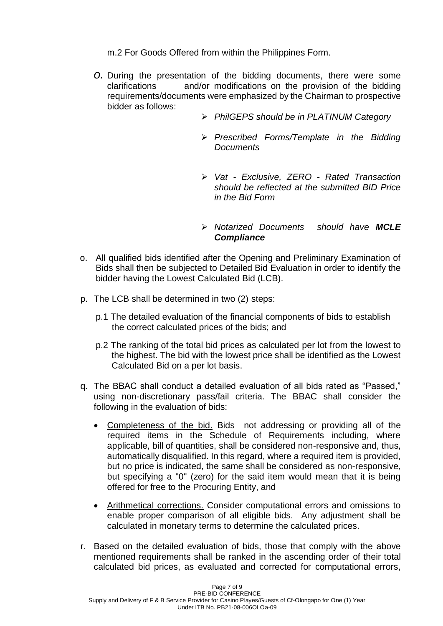m.2 For Goods Offered from within the Philippines Form.

- *o.* During the presentation of the bidding documents, there were some clarifications and/or modifications on the provision of the bidding requirements/documents were emphasized by the Chairman to prospective bidder as follows:
	- ➢ *PhilGEPS should be in PLATINUM Category*
	- ➢ *Prescribed Forms/Template in the Bidding Documents*
	- ➢ *Vat - Exclusive, ZERO - Rated Transaction should be reflected at the submitted BID Price in the Bid Form*
	- ➢ *Notarized Documents should have MCLE Compliance*
- o. All qualified bids identified after the Opening and Preliminary Examination of Bids shall then be subjected to Detailed Bid Evaluation in order to identify the bidder having the Lowest Calculated Bid (LCB).
- p. The LCB shall be determined in two (2) steps:
	- p.1 The detailed evaluation of the financial components of bids to establish the correct calculated prices of the bids; and
	- p.2 The ranking of the total bid prices as calculated per lot from the lowest to the highest. The bid with the lowest price shall be identified as the Lowest Calculated Bid on a per lot basis.
- q. The BBAC shall conduct a detailed evaluation of all bids rated as "Passed," using non-discretionary pass/fail criteria. The BBAC shall consider the following in the evaluation of bids:
	- Completeness of the bid. Bids not addressing or providing all of the required items in the Schedule of Requirements including, where applicable, bill of quantities, shall be considered non-responsive and, thus, automatically disqualified. In this regard, where a required item is provided, but no price is indicated, the same shall be considered as non-responsive, but specifying a "0" (zero) for the said item would mean that it is being offered for free to the Procuring Entity, and
	- Arithmetical corrections. Consider computational errors and omissions to enable proper comparison of all eligible bids. Any adjustment shall be calculated in monetary terms to determine the calculated prices.
- r. Based on the detailed evaluation of bids, those that comply with the above mentioned requirements shall be ranked in the ascending order of their total calculated bid prices, as evaluated and corrected for computational errors,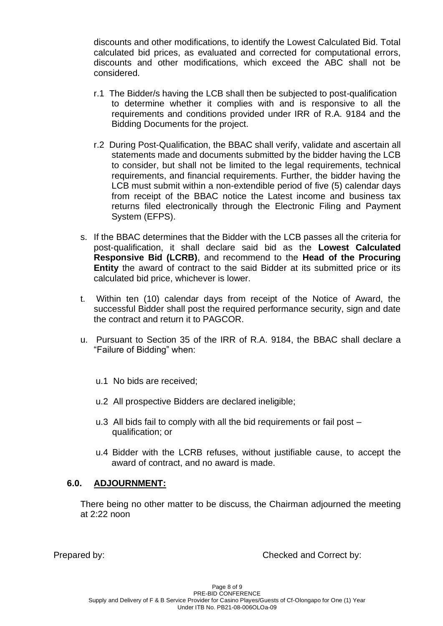discounts and other modifications, to identify the Lowest Calculated Bid. Total calculated bid prices, as evaluated and corrected for computational errors, discounts and other modifications, which exceed the ABC shall not be considered.

- r.1 The Bidder/s having the LCB shall then be subjected to post-qualification to determine whether it complies with and is responsive to all the requirements and conditions provided under IRR of R.A. 9184 and the Bidding Documents for the project.
- r.2 During Post-Qualification, the BBAC shall verify, validate and ascertain all statements made and documents submitted by the bidder having the LCB to consider, but shall not be limited to the legal requirements, technical requirements, and financial requirements. Further, the bidder having the LCB must submit within a non-extendible period of five (5) calendar days from receipt of the BBAC notice the Latest income and business tax returns filed electronically through the Electronic Filing and Payment System (EFPS).
- s. If the BBAC determines that the Bidder with the LCB passes all the criteria for post-qualification, it shall declare said bid as the **Lowest Calculated Responsive Bid (LCRB)**, and recommend to the **Head of the Procuring Entity** the award of contract to the said Bidder at its submitted price or its calculated bid price, whichever is lower.
- t. Within ten (10) calendar days from receipt of the Notice of Award, the successful Bidder shall post the required performance security, sign and date the contract and return it to PAGCOR.
- u. Pursuant to Section 35 of the IRR of R.A. 9184, the BBAC shall declare a "Failure of Bidding" when:
	- u.1 No bids are received;
	- u.2 All prospective Bidders are declared ineligible;
	- u.3 All bids fail to comply with all the bid requirements or fail post qualification; or
	- u.4 Bidder with the LCRB refuses, without justifiable cause, to accept the award of contract, and no award is made.

### **6.0. ADJOURNMENT:**

There being no other matter to be discuss, the Chairman adjourned the meeting at 2:22 noon

Prepared by: Checked and Correct by: